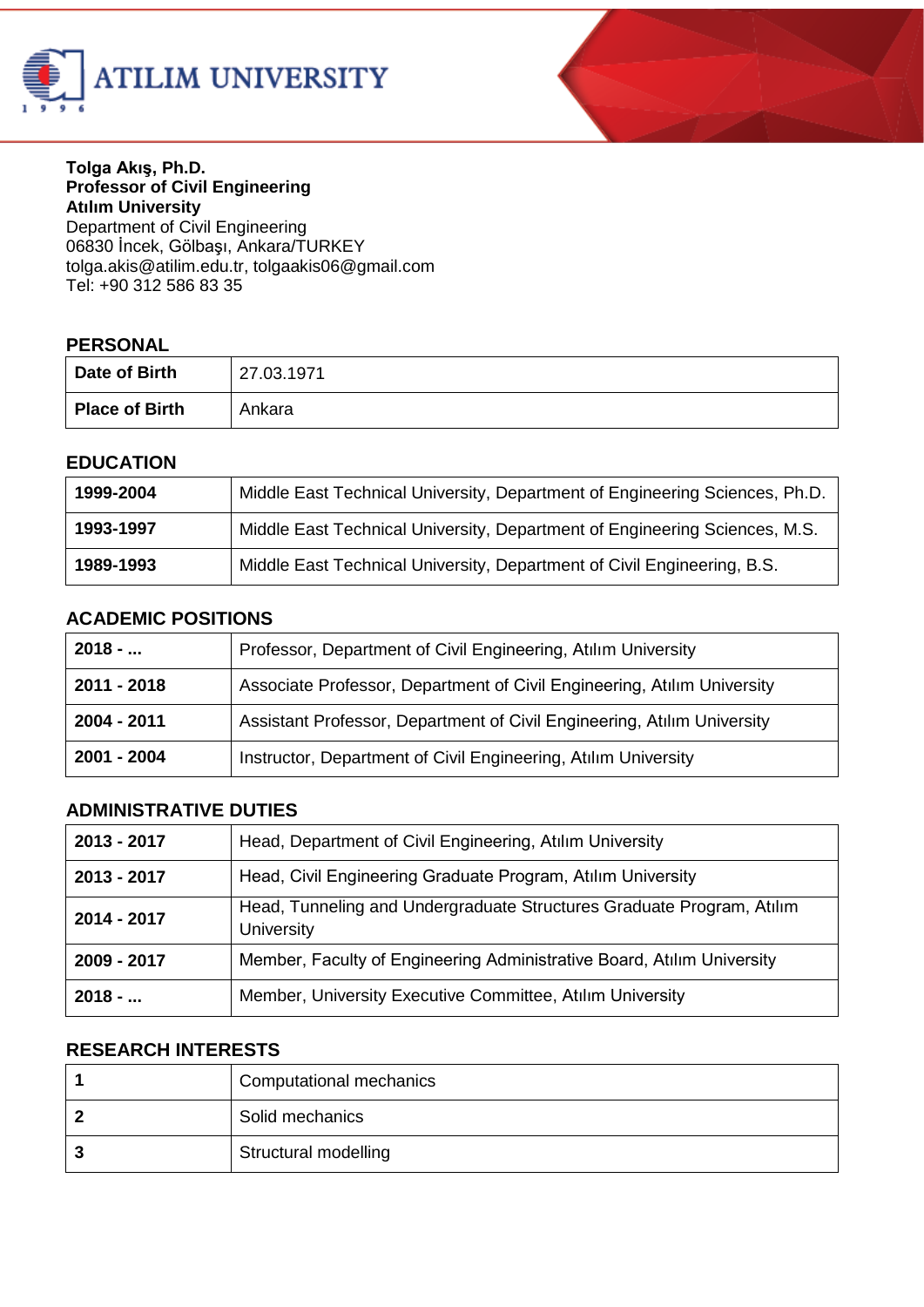



#### **Tolga Akış, Ph.D. Professor of Civil Engineering Atılım University**

Department of Civil Engineering 06830 İncek, Gölbaşı, Ankara/TURKEY tolga.aki[s@atilim.edu.tr,](mailto:ulug@bilkent.edu.tr) tolgaakis06@gmail.com Tel: +90 312 586 83 35

#### **PERSONAL**

| Date of Birth  | 27.03.1971 |
|----------------|------------|
| Place of Birth | Ankara     |

#### **EDUCATION**

| 1999-2004 | Middle East Technical University, Department of Engineering Sciences, Ph.D. |
|-----------|-----------------------------------------------------------------------------|
| 1993-1997 | Middle East Technical University, Department of Engineering Sciences, M.S.  |
| 1989-1993 | Middle East Technical University, Department of Civil Engineering, B.S.     |

#### **ACADEMIC POSITIONS**

| $2018 - $   | Professor, Department of Civil Engineering, Atılım University           |
|-------------|-------------------------------------------------------------------------|
| 2011 - 2018 | Associate Professor, Department of Civil Engineering, Atılım University |
| 2004 - 2011 | Assistant Professor, Department of Civil Engineering, Atılım University |
| 2001 - 2004 | Instructor, Department of Civil Engineering, Atılım University          |

### **ADMINISTRATIVE DUTIES**

| 2013 - 2017 | Head, Department of Civil Engineering, Atılım University                                   |
|-------------|--------------------------------------------------------------------------------------------|
| 2013 - 2017 | Head, Civil Engineering Graduate Program, Atılım University                                |
| 2014 - 2017 | Head, Tunneling and Undergraduate Structures Graduate Program, Atilim<br><b>University</b> |
| 2009 - 2017 | Member, Faculty of Engineering Administrative Board, Atılım University                     |
| $2018 - $   | Member, University Executive Committee, Atılım University                                  |

#### **RESEARCH INTERESTS**

| Computational mechanics |
|-------------------------|
| Solid mechanics         |
| Structural modelling    |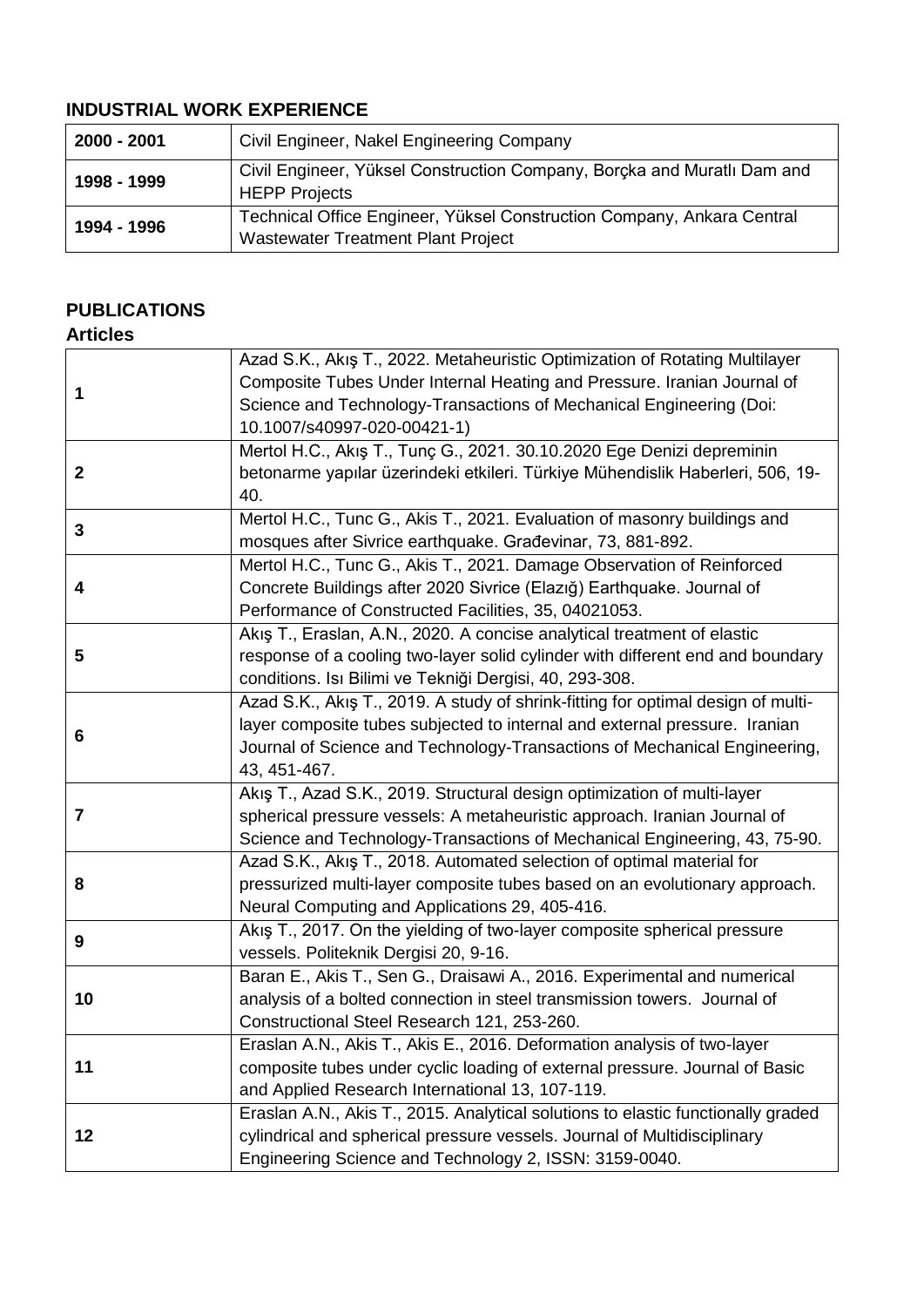## **INDUSTRIAL WORK EXPERIENCE**

| 2000 - 2001 | Civil Engineer, Nakel Engineering Company                                                                           |
|-------------|---------------------------------------------------------------------------------------------------------------------|
| 1998 - 1999 | Civil Engineer, Yüksel Construction Company, Borcka and Muratlı Dam and<br><b>HEPP Projects</b>                     |
| 1994 - 1996 | Technical Office Engineer, Yüksel Construction Company, Ankara Central<br><b>Wastewater Treatment Plant Project</b> |

## **PUBLICATIONS**

#### **Articles**

| 1              | Azad S.K., Akış T., 2022. Metaheuristic Optimization of Rotating Multilayer<br>Composite Tubes Under Internal Heating and Pressure. Iranian Journal of<br>Science and Technology-Transactions of Mechanical Engineering (Doi:<br>10.1007/s40997-020-00421-1) |
|----------------|--------------------------------------------------------------------------------------------------------------------------------------------------------------------------------------------------------------------------------------------------------------|
| $\mathbf 2$    | Mertol H.C., Akış T., Tunç G., 2021. 30.10.2020 Ege Denizi depreminin<br>betonarme yapılar üzerindeki etkileri. Türkiye Mühendislik Haberleri, 506, 19-<br>40.                                                                                               |
| 3              | Mertol H.C., Tunc G., Akis T., 2021. Evaluation of masonry buildings and<br>mosques after Sivrice earthquake. Građevinar, 73, 881-892.                                                                                                                       |
| 4              | Mertol H.C., Tunc G., Akis T., 2021. Damage Observation of Reinforced<br>Concrete Buildings after 2020 Sivrice (Elazığ) Earthquake. Journal of<br>Performance of Constructed Facilities, 35, 04021053.                                                       |
| 5              | Akış T., Eraslan, A.N., 2020. A concise analytical treatment of elastic<br>response of a cooling two-layer solid cylinder with different end and boundary<br>conditions. Isı Bilimi ve Tekniği Dergisi, 40, 293-308.                                         |
| 6              | Azad S.K., Akış T., 2019. A study of shrink-fitting for optimal design of multi-<br>layer composite tubes subjected to internal and external pressure. Iranian<br>Journal of Science and Technology-Transactions of Mechanical Engineering,<br>43, 451-467.  |
| $\overline{7}$ | Akış T., Azad S.K., 2019. Structural design optimization of multi-layer<br>spherical pressure vessels: A metaheuristic approach. Iranian Journal of<br>Science and Technology-Transactions of Mechanical Engineering, 43, 75-90.                             |
| 8              | Azad S.K., Akış T., 2018. Automated selection of optimal material for<br>pressurized multi-layer composite tubes based on an evolutionary approach.<br>Neural Computing and Applications 29, 405-416.                                                        |
| 9              | Akiş T., 2017. On the yielding of two-layer composite spherical pressure<br>vessels. Politeknik Dergisi 20, 9-16.                                                                                                                                            |
| 10             | Baran E., Akis T., Sen G., Draisawi A., 2016. Experimental and numerical<br>analysis of a bolted connection in steel transmission towers. Journal of<br>Constructional Steel Research 121, 253-260.                                                          |
| 11             | Eraslan A.N., Akis T., Akis E., 2016. Deformation analysis of two-layer<br>composite tubes under cyclic loading of external pressure. Journal of Basic<br>and Applied Research International 13, 107-119.                                                    |
| 12             | Eraslan A.N., Akis T., 2015. Analytical solutions to elastic functionally graded<br>cylindrical and spherical pressure vessels. Journal of Multidisciplinary<br>Engineering Science and Technology 2, ISSN: 3159-0040.                                       |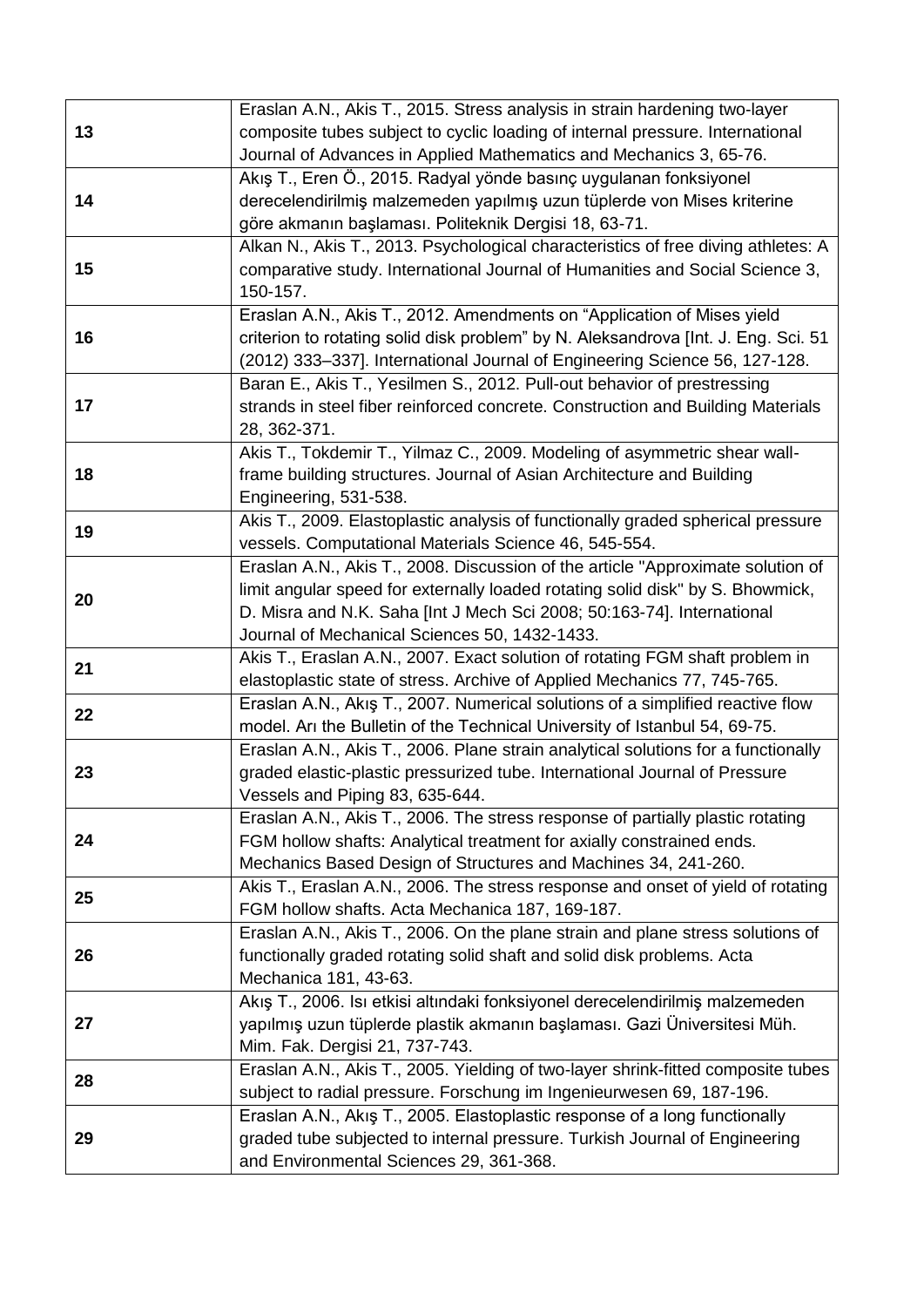|    | Eraslan A.N., Akis T., 2015. Stress analysis in strain hardening two-layer         |
|----|------------------------------------------------------------------------------------|
| 13 | composite tubes subject to cyclic loading of internal pressure. International      |
|    | Journal of Advances in Applied Mathematics and Mechanics 3, 65-76.                 |
|    | Akış T., Eren Ö., 2015. Radyal yönde basınç uygulanan fonksiyonel                  |
| 14 | derecelendirilmiş malzemeden yapılmış uzun tüplerde von Mises kriterine            |
|    | göre akmanın başlaması. Politeknik Dergisi 18, 63-71.                              |
|    | Alkan N., Akis T., 2013. Psychological characteristics of free diving athletes: A  |
| 15 | comparative study. International Journal of Humanities and Social Science 3,       |
|    | 150-157.                                                                           |
|    | Eraslan A.N., Akis T., 2012. Amendments on "Application of Mises yield             |
| 16 | criterion to rotating solid disk problem" by N. Aleksandrova [Int. J. Eng. Sci. 51 |
|    | (2012) 333-337]. International Journal of Engineering Science 56, 127-128.         |
|    | Baran E., Akis T., Yesilmen S., 2012. Pull-out behavior of prestressing            |
| 17 | strands in steel fiber reinforced concrete. Construction and Building Materials    |
|    | 28, 362-371.                                                                       |
|    | Akis T., Tokdemir T., Yilmaz C., 2009. Modeling of asymmetric shear wall-          |
| 18 | frame building structures. Journal of Asian Architecture and Building              |
|    | Engineering, 531-538.                                                              |
|    | Akis T., 2009. Elastoplastic analysis of functionally graded spherical pressure    |
| 19 | vessels. Computational Materials Science 46, 545-554.                              |
|    | Eraslan A.N., Akis T., 2008. Discussion of the article "Approximate solution of    |
|    | limit angular speed for externally loaded rotating solid disk" by S. Bhowmick,     |
| 20 | D. Misra and N.K. Saha [Int J Mech Sci 2008; 50:163-74]. International             |
|    | Journal of Mechanical Sciences 50, 1432-1433.                                      |
|    | Akis T., Eraslan A.N., 2007. Exact solution of rotating FGM shaft problem in       |
| 21 | elastoplastic state of stress. Archive of Applied Mechanics 77, 745-765.           |
|    | Eraslan A.N., Akış T., 2007. Numerical solutions of a simplified reactive flow     |
| 22 | model. Arı the Bulletin of the Technical University of Istanbul 54, 69-75.         |
|    | Eraslan A.N., Akis T., 2006. Plane strain analytical solutions for a functionally  |
| 23 | graded elastic-plastic pressurized tube. International Journal of Pressure         |
|    | Vessels and Piping 83, 635-644.                                                    |
|    | Eraslan A.N., Akis T., 2006. The stress response of partially plastic rotating     |
| 24 | FGM hollow shafts: Analytical treatment for axially constrained ends.              |
|    | Mechanics Based Design of Structures and Machines 34, 241-260.                     |
|    | Akis T., Eraslan A.N., 2006. The stress response and onset of yield of rotating    |
| 25 | FGM hollow shafts. Acta Mechanica 187, 169-187.                                    |
|    | Eraslan A.N., Akis T., 2006. On the plane strain and plane stress solutions of     |
| 26 | functionally graded rotating solid shaft and solid disk problems. Acta             |
|    | Mechanica 181, 43-63.                                                              |
|    | Akış T., 2006. Isı etkisi altındaki fonksiyonel derecelendirilmiş malzemeden       |
| 27 | yapılmış uzun tüplerde plastik akmanın başlaması. Gazi Üniversitesi Müh.           |
|    | Mim. Fak. Dergisi 21, 737-743.                                                     |
|    | Eraslan A.N., Akis T., 2005. Yielding of two-layer shrink-fitted composite tubes   |
| 28 | subject to radial pressure. Forschung im Ingenieurwesen 69, 187-196.               |
|    |                                                                                    |
|    | Eraslan A.N., Akış T., 2005. Elastoplastic response of a long functionally         |
| 29 | graded tube subjected to internal pressure. Turkish Journal of Engineering         |
|    | and Environmental Sciences 29, 361-368.                                            |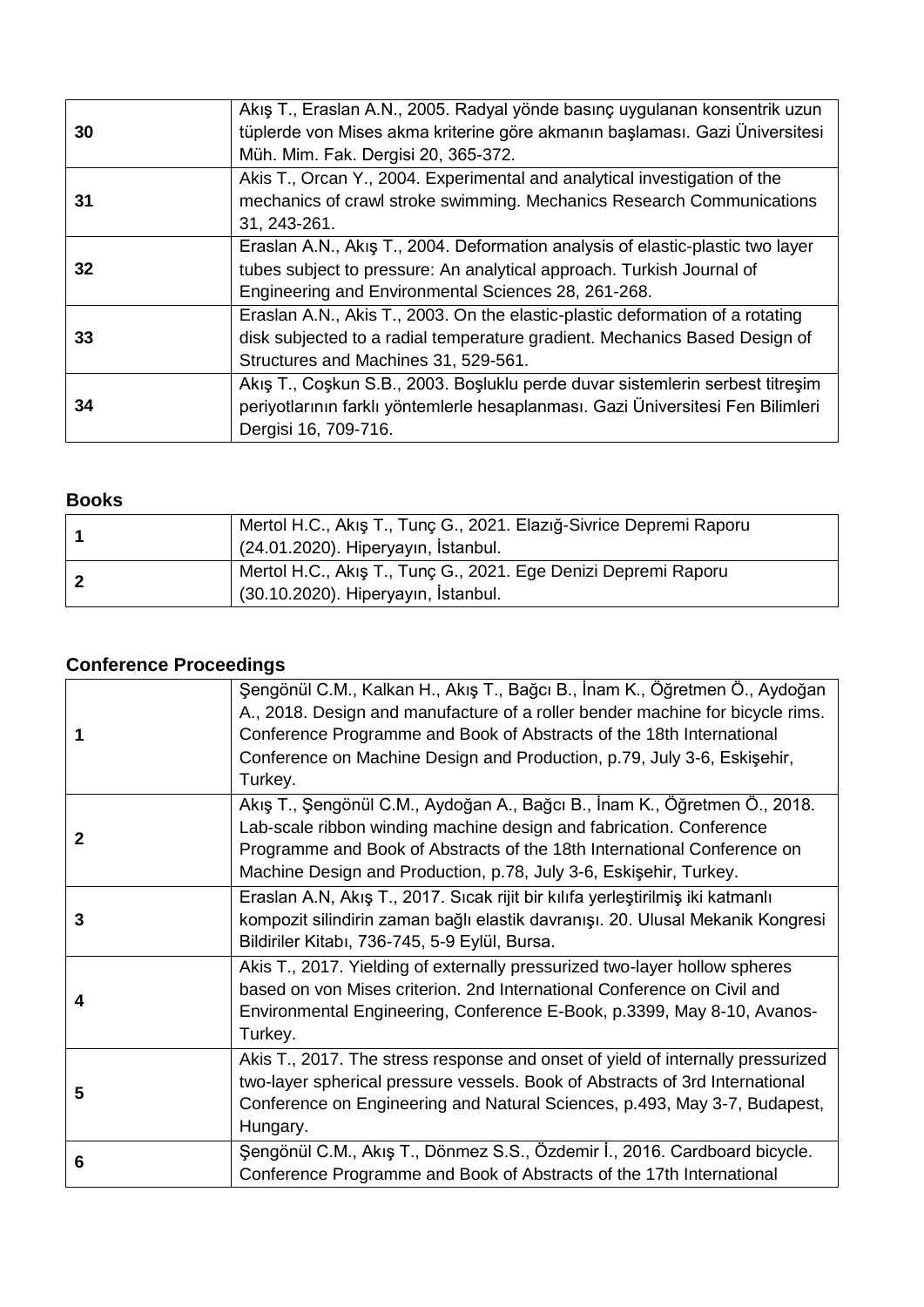| 30 | Akış T., Eraslan A.N., 2005. Radyal yönde basınç uygulanan konsentrik uzun<br>tüplerde von Mises akma kriterine göre akmanın başlaması. Gazi Üniversitesi<br>Müh. Mim. Fak. Dergisi 20, 365-372.               |
|----|----------------------------------------------------------------------------------------------------------------------------------------------------------------------------------------------------------------|
| 31 | Akis T., Orcan Y., 2004. Experimental and analytical investigation of the<br>mechanics of crawl stroke swimming. Mechanics Research Communications<br>31, 243-261.                                             |
| 32 | Eraslan A.N., Akış T., 2004. Deformation analysis of elastic-plastic two layer<br>tubes subject to pressure: An analytical approach. Turkish Journal of<br>Engineering and Environmental Sciences 28, 261-268. |
| 33 | Eraslan A.N., Akis T., 2003. On the elastic-plastic deformation of a rotating<br>disk subjected to a radial temperature gradient. Mechanics Based Design of<br>Structures and Machines 31, 529-561.            |
| 34 | Akış T., Coşkun S.B., 2003. Boşluklu perde duvar sistemlerin serbest titreşim<br>periyotlarının farklı yöntemlerle hesaplanması. Gazi Üniversitesi Fen Bilimleri<br>Dergisi 16, 709-716.                       |

#### **Books**

| Mertol H.C., Akış T., Tunç G., 2021. Elazığ-Sivrice Depremi Raporu<br>(24.01.2020). Hiperyayın, İstanbul. |
|-----------------------------------------------------------------------------------------------------------|
| Mertol H.C., Akış T., Tunç G., 2021. Ege Denizi Depremi Raporu<br>(30.10.2020). Hiperyayın, İstanbul.     |

# **Conference Proceedings**

| 1              | Şengönül C.M., Kalkan H., Akış T., Bağcı B., İnam K., Öğretmen Ö., Aydoğan<br>A., 2018. Design and manufacture of a roller bender machine for bicycle rims.<br>Conference Programme and Book of Abstracts of the 18th International<br>Conference on Machine Design and Production, p.79, July 3-6, Eskişehir,<br>Turkey. |
|----------------|---------------------------------------------------------------------------------------------------------------------------------------------------------------------------------------------------------------------------------------------------------------------------------------------------------------------------|
| $\overline{2}$ | Akış T., Şengönül C.M., Aydoğan A., Bağcı B., İnam K., Öğretmen Ö., 2018.<br>Lab-scale ribbon winding machine design and fabrication. Conference<br>Programme and Book of Abstracts of the 18th International Conference on<br>Machine Design and Production, p.78, July 3-6, Eskişehir, Turkey.                          |
| 3              | Eraslan A.N, Akış T., 2017. Sıcak rijit bir kılıfa yerleştirilmiş iki katmanlı<br>kompozit silindirin zaman bağlı elastik davranışı. 20. Ulusal Mekanik Kongresi<br>Bildiriler Kitabı, 736-745, 5-9 Eylül, Bursa.                                                                                                         |
| 4              | Akis T., 2017. Yielding of externally pressurized two-layer hollow spheres<br>based on von Mises criterion. 2nd International Conference on Civil and<br>Environmental Engineering, Conference E-Book, p.3399, May 8-10, Avanos-<br>Turkey.                                                                               |
| 5              | Akis T., 2017. The stress response and onset of yield of internally pressurized<br>two-layer spherical pressure vessels. Book of Abstracts of 3rd International<br>Conference on Engineering and Natural Sciences, p.493, May 3-7, Budapest,<br>Hungary.                                                                  |
| 6              | Şengönül C.M., Akış T., Dönmez S.S., Özdemir İ., 2016. Cardboard bicycle.<br>Conference Programme and Book of Abstracts of the 17th International                                                                                                                                                                         |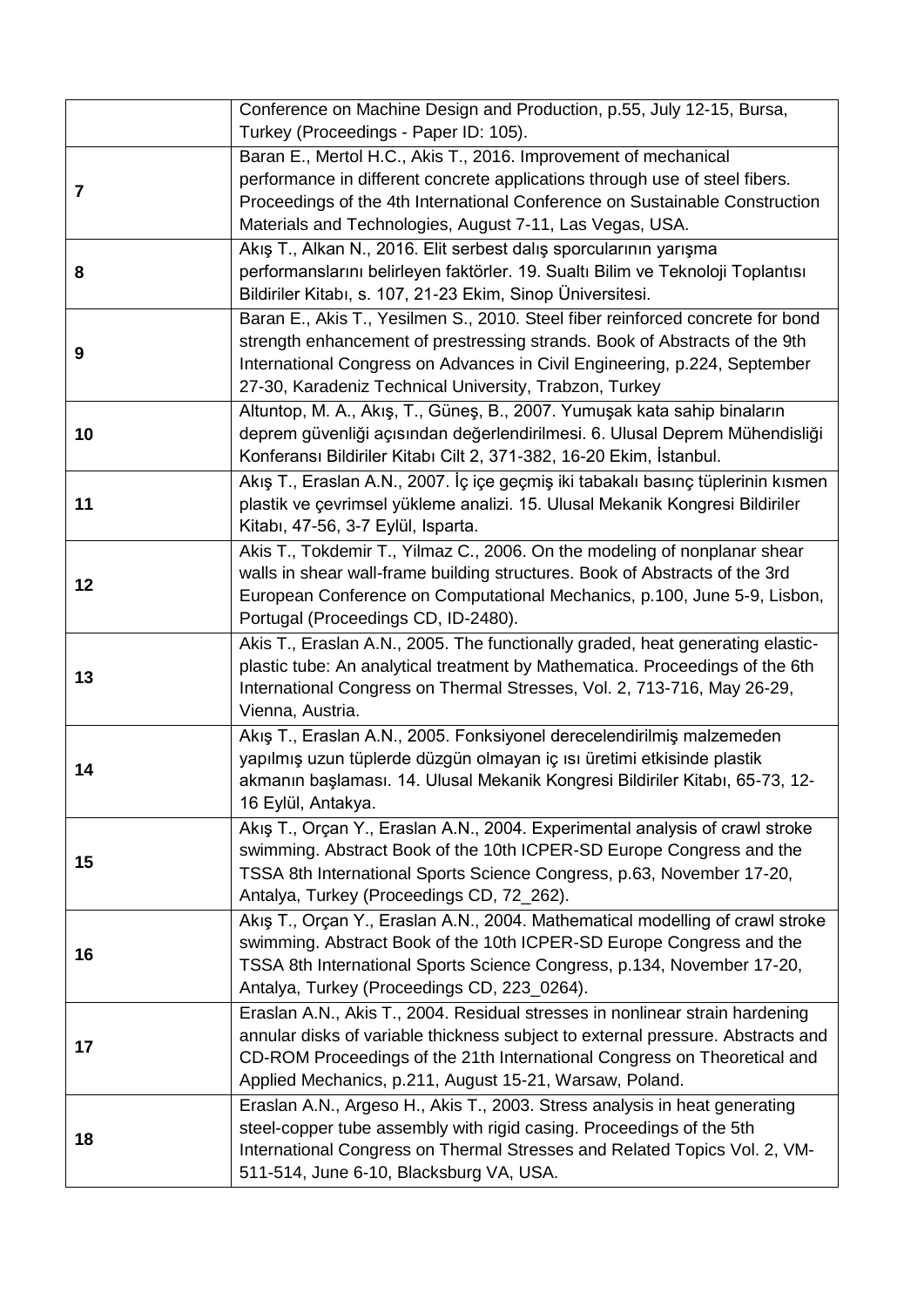|                | Conference on Machine Design and Production, p.55, July 12-15, Bursa,<br>Turkey (Proceedings - Paper ID: 105).                                                                                                                                                                                         |
|----------------|--------------------------------------------------------------------------------------------------------------------------------------------------------------------------------------------------------------------------------------------------------------------------------------------------------|
| $\overline{7}$ | Baran E., Mertol H.C., Akis T., 2016. Improvement of mechanical<br>performance in different concrete applications through use of steel fibers.<br>Proceedings of the 4th International Conference on Sustainable Construction<br>Materials and Technologies, August 7-11, Las Vegas, USA.              |
| 8              | Akış T., Alkan N., 2016. Elit serbest dalış sporcularının yarışma<br>performanslarını belirleyen faktörler. 19. Sualtı Bilim ve Teknoloji Toplantısı<br>Bildiriler Kitabı, s. 107, 21-23 Ekim, Sinop Üniversitesi.                                                                                     |
| 9              | Baran E., Akis T., Yesilmen S., 2010. Steel fiber reinforced concrete for bond<br>strength enhancement of prestressing strands. Book of Abstracts of the 9th<br>International Congress on Advances in Civil Engineering, p.224, September<br>27-30, Karadeniz Technical University, Trabzon, Turkey    |
| 10             | Altuntop, M. A., Akış, T., Güneş, B., 2007. Yumuşak kata sahip binaların<br>deprem güvenliği açısından değerlendirilmesi. 6. Ulusal Deprem Mühendisliği<br>Konferansı Bildiriler Kitabı Cilt 2, 371-382, 16-20 Ekim, İstanbul.                                                                         |
| 11             | Akış T., Eraslan A.N., 2007. İç içe geçmiş iki tabakalı basınç tüplerinin kısmen<br>plastik ve çevrimsel yükleme analizi. 15. Ulusal Mekanik Kongresi Bildiriler<br>Kitabı, 47-56, 3-7 Eylül, Isparta.                                                                                                 |
| 12             | Akis T., Tokdemir T., Yilmaz C., 2006. On the modeling of nonplanar shear<br>walls in shear wall-frame building structures. Book of Abstracts of the 3rd<br>European Conference on Computational Mechanics, p.100, June 5-9, Lisbon,<br>Portugal (Proceedings CD, ID-2480).                            |
| 13             | Akis T., Eraslan A.N., 2005. The functionally graded, heat generating elastic-<br>plastic tube: An analytical treatment by Mathematica. Proceedings of the 6th<br>International Congress on Thermal Stresses, Vol. 2, 713-716, May 26-29,<br>Vienna, Austria.                                          |
| 14             | Akış T., Eraslan A.N., 2005. Fonksiyonel derecelendirilmiş malzemeden<br>yapılmış uzun tüplerde düzgün olmayan iç ısı üretimi etkisinde plastik<br>akmanın başlaması. 14. Ulusal Mekanik Kongresi Bildiriler Kitabı, 65-73, 12-<br>16 Eylül, Antakya.                                                  |
| 15             | Akış T., Orçan Y., Eraslan A.N., 2004. Experimental analysis of crawl stroke<br>swimming. Abstract Book of the 10th ICPER-SD Europe Congress and the<br>TSSA 8th International Sports Science Congress, p.63, November 17-20,<br>Antalya, Turkey (Proceedings CD, 72_262).                             |
| 16             | Akış T., Orçan Y., Eraslan A.N., 2004. Mathematical modelling of crawl stroke<br>swimming. Abstract Book of the 10th ICPER-SD Europe Congress and the<br>TSSA 8th International Sports Science Congress, p.134, November 17-20,<br>Antalya, Turkey (Proceedings CD, 223_0264).                         |
| 17             | Eraslan A.N., Akis T., 2004. Residual stresses in nonlinear strain hardening<br>annular disks of variable thickness subject to external pressure. Abstracts and<br>CD-ROM Proceedings of the 21th International Congress on Theoretical and<br>Applied Mechanics, p.211, August 15-21, Warsaw, Poland. |
| 18             | Eraslan A.N., Argeso H., Akis T., 2003. Stress analysis in heat generating<br>steel-copper tube assembly with rigid casing. Proceedings of the 5th<br>International Congress on Thermal Stresses and Related Topics Vol. 2, VM-<br>511-514, June 6-10, Blacksburg VA, USA.                             |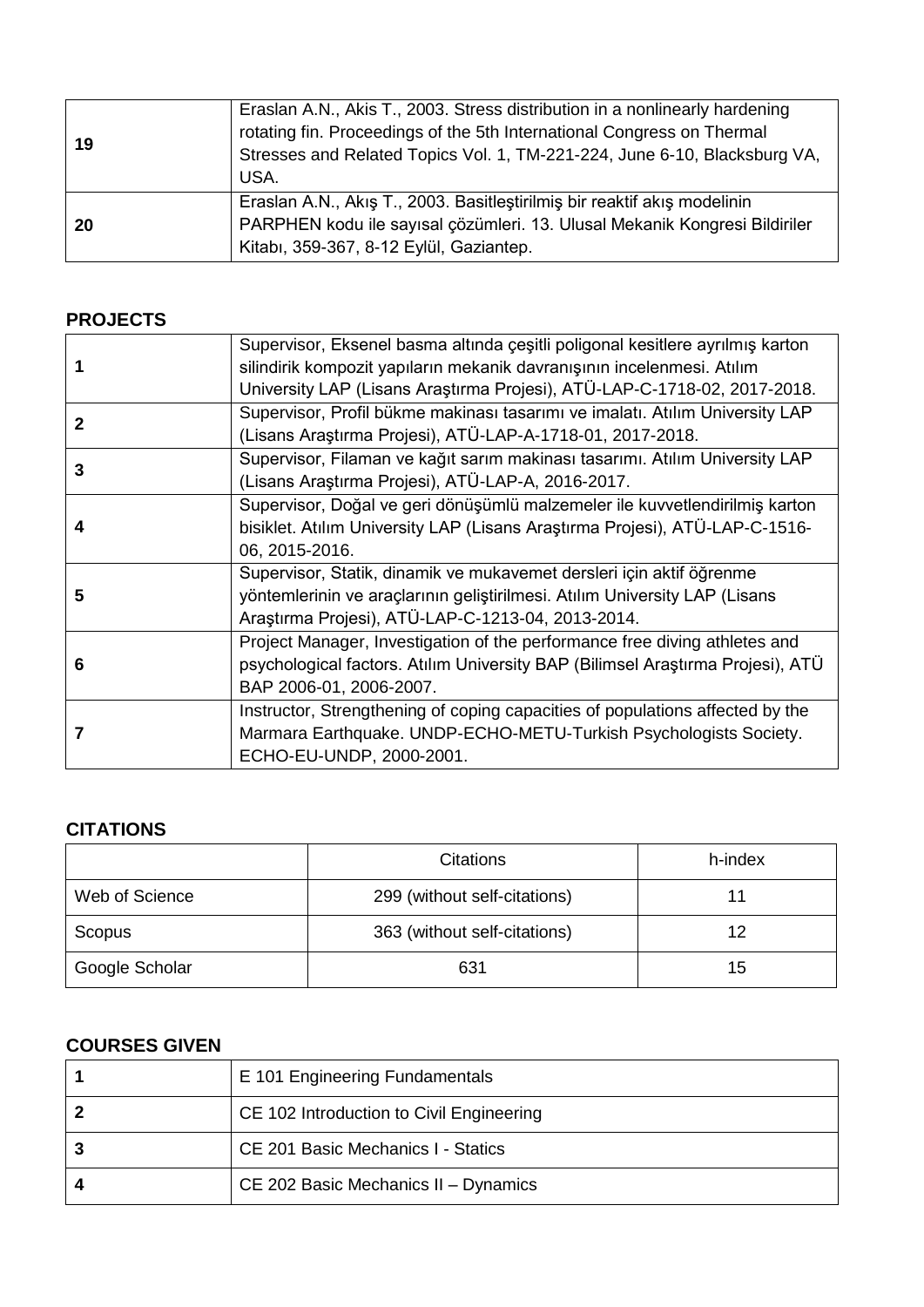| 19  | Eraslan A.N., Akis T., 2003. Stress distribution in a nonlinearly hardening<br>rotating fin. Proceedings of the 5th International Congress on Thermal<br>Stresses and Related Topics Vol. 1, TM-221-224, June 6-10, Blacksburg VA,<br>USA. |
|-----|--------------------------------------------------------------------------------------------------------------------------------------------------------------------------------------------------------------------------------------------|
| -20 | Eraslan A.N., Akış T., 2003. Basitleştirilmiş bir reaktif akış modelinin<br>PARPHEN kodu ile sayısal çözümleri. 13. Ulusal Mekanik Kongresi Bildiriler<br>Kitabı, 359-367, 8-12 Eylül, Gaziantep.                                          |

## **PROJECTS**

|              | Supervisor, Eksenel basma altında çeşitli poligonal kesitlere ayrılmış karton  |
|--------------|--------------------------------------------------------------------------------|
|              | silindirik kompozit yapıların mekanik davranışının incelenmesi. Atılım         |
|              | University LAP (Lisans Araştırma Projesi), ATÜ-LAP-C-1718-02, 2017-2018.       |
| $\mathbf{2}$ | Supervisor, Profil bükme makinası tasarımı ve imalatı. Atılım University LAP   |
|              | (Lisans Araştırma Projesi), ATÜ-LAP-A-1718-01, 2017-2018.                      |
| 3            | Supervisor, Filaman ve kağıt sarım makinası tasarımı. Atılım University LAP    |
|              | (Lisans Araştırma Projesi), ATÜ-LAP-A, 2016-2017.                              |
| 4            | Supervisor, Doğal ve geri dönüşümlü malzemeler ile kuvvetlendirilmiş karton    |
|              | bisiklet. Atılım University LAP (Lisans Araştırma Projesi), ATÜ-LAP-C-1516-    |
|              | 06, 2015-2016.                                                                 |
|              | Supervisor, Statik, dinamik ve mukavemet dersleri için aktif öğrenme           |
| 5            | yöntemlerinin ve araçlarının geliştirilmesi. Atılım University LAP (Lisans     |
|              | Araştırma Projesi), ATÜ-LAP-C-1213-04, 2013-2014.                              |
| 6            | Project Manager, Investigation of the performance free diving athletes and     |
|              | psychological factors. Atılım University BAP (Bilimsel Araştırma Projesi), ATÜ |
|              | BAP 2006-01, 2006-2007.                                                        |
| 7            | Instructor, Strengthening of coping capacities of populations affected by the  |
|              | Marmara Earthquake. UNDP-ECHO-METU-Turkish Psychologists Society.              |
|              | ECHO-EU-UNDP, 2000-2001.                                                       |

### **CITATIONS**

|                | <b>Citations</b>             | h-index |
|----------------|------------------------------|---------|
| Web of Science | 299 (without self-citations) |         |
| Scopus         | 363 (without self-citations) |         |
| Google Scholar | 631                          | 15      |

### **COURSES GIVEN**

| E 101 Engineering Fundamentals            |
|-------------------------------------------|
| CE 102 Introduction to Civil Engineering  |
| <b>CE 201 Basic Mechanics I - Statics</b> |
| CE 202 Basic Mechanics II - Dynamics      |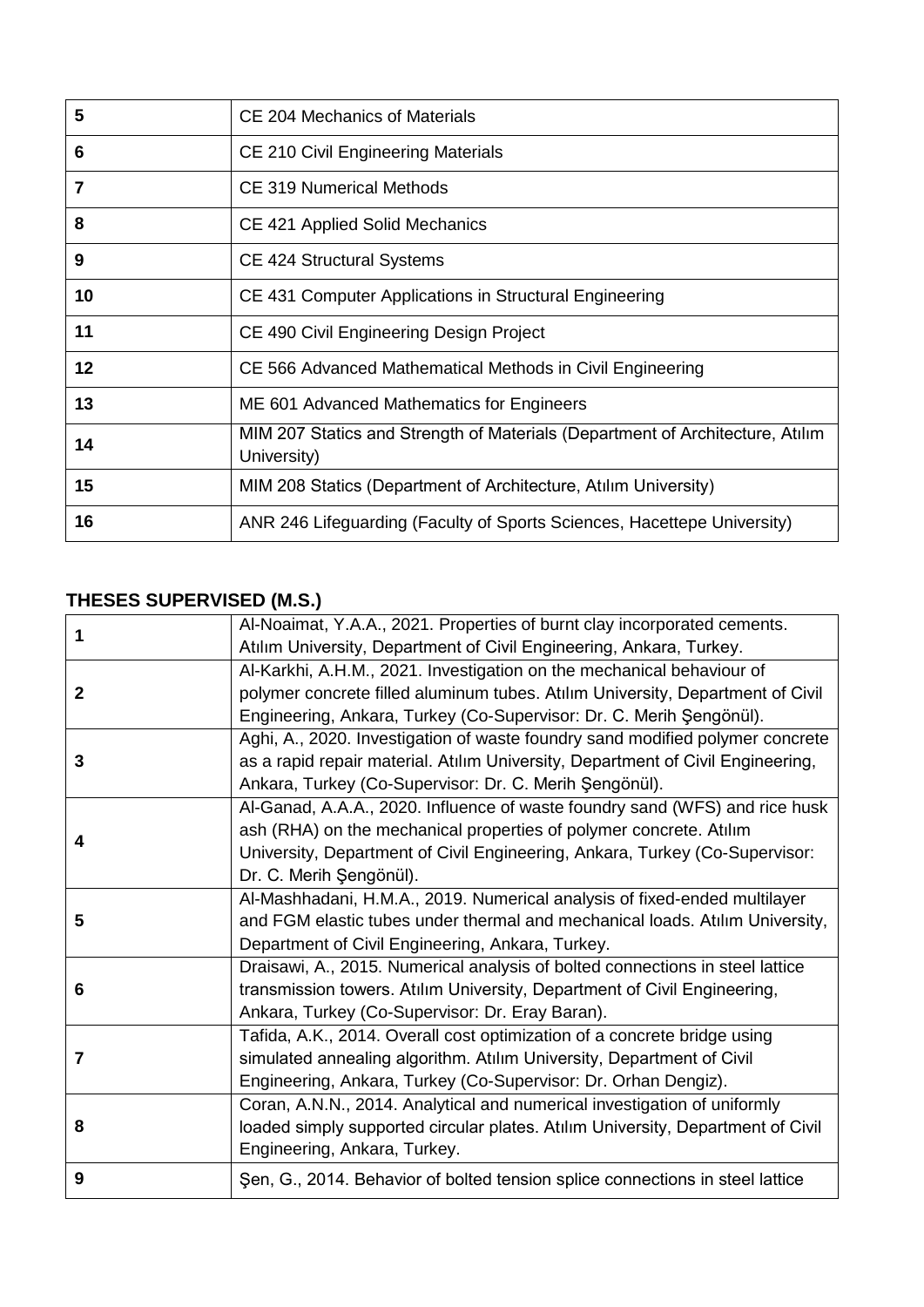| 5              | CE 204 Mechanics of Materials                                                                |
|----------------|----------------------------------------------------------------------------------------------|
| 6              | CE 210 Civil Engineering Materials                                                           |
| $\overline{7}$ | CE 319 Numerical Methods                                                                     |
| 8              | CE 421 Applied Solid Mechanics                                                               |
| 9              | <b>CE 424 Structural Systems</b>                                                             |
| 10             | CE 431 Computer Applications in Structural Engineering                                       |
| 11             | CE 490 Civil Engineering Design Project                                                      |
| 12             | CE 566 Advanced Mathematical Methods in Civil Engineering                                    |
| 13             | ME 601 Advanced Mathematics for Engineers                                                    |
| 14             | MIM 207 Statics and Strength of Materials (Department of Architecture, Atılım<br>University) |
| 15             | MIM 208 Statics (Department of Architecture, Atilim University)                              |
| 16             | ANR 246 Lifeguarding (Faculty of Sports Sciences, Hacettepe University)                      |

## **THESES SUPERVISED (M.S.)**

| 1              | Al-Noaimat, Y.A.A., 2021. Properties of burnt clay incorporated cements.        |
|----------------|---------------------------------------------------------------------------------|
|                | Atılım University, Department of Civil Engineering, Ankara, Turkey.             |
| $\mathbf{2}$   | Al-Karkhi, A.H.M., 2021. Investigation on the mechanical behaviour of           |
|                | polymer concrete filled aluminum tubes. Atılım University, Department of Civil  |
|                | Engineering, Ankara, Turkey (Co-Supervisor: Dr. C. Merih Şengönül).             |
|                | Aghi, A., 2020. Investigation of waste foundry sand modified polymer concrete   |
| 3              | as a rapid repair material. Atılım University, Department of Civil Engineering, |
|                | Ankara, Turkey (Co-Supervisor: Dr. C. Merih Şengönül).                          |
|                | Al-Ganad, A.A.A., 2020. Influence of waste foundry sand (WFS) and rice husk     |
|                | ash (RHA) on the mechanical properties of polymer concrete. Atılım              |
| 4              | University, Department of Civil Engineering, Ankara, Turkey (Co-Supervisor:     |
|                | Dr. C. Merih Şengönül).                                                         |
|                | Al-Mashhadani, H.M.A., 2019. Numerical analysis of fixed-ended multilayer       |
| 5              | and FGM elastic tubes under thermal and mechanical loads. Atılım University,    |
|                | Department of Civil Engineering, Ankara, Turkey.                                |
|                | Draisawi, A., 2015. Numerical analysis of bolted connections in steel lattice   |
| 6              | transmission towers. Atılım University, Department of Civil Engineering,        |
|                | Ankara, Turkey (Co-Supervisor: Dr. Eray Baran).                                 |
| $\overline{7}$ | Tafida, A.K., 2014. Overall cost optimization of a concrete bridge using        |
|                | simulated annealing algorithm. Atılım University, Department of Civil           |
|                | Engineering, Ankara, Turkey (Co-Supervisor: Dr. Orhan Dengiz).                  |
|                | Coran, A.N.N., 2014. Analytical and numerical investigation of uniformly        |
| 8              | loaded simply supported circular plates. Atılım University, Department of Civil |
|                | Engineering, Ankara, Turkey.                                                    |
| 9              | Şen, G., 2014. Behavior of bolted tension splice connections in steel lattice   |
|                |                                                                                 |